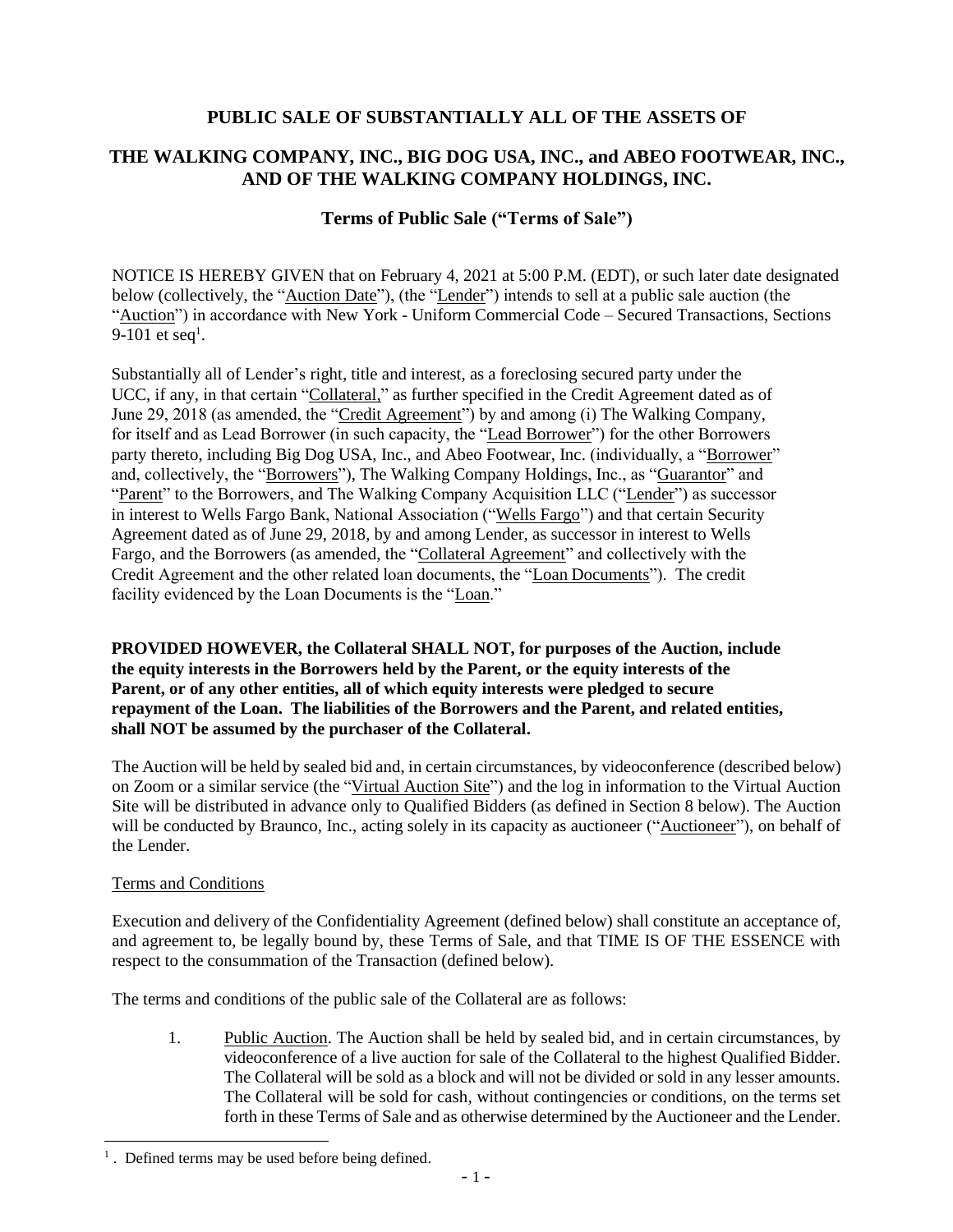## **PUBLIC SALE OF SUBSTANTIALLY ALL OF THE ASSETS OF**

# **THE WALKING COMPANY, INC., BIG DOG USA, INC., and ABEO FOOTWEAR, INC., AND OF THE WALKING COMPANY HOLDINGS, INC.**

## **Terms of Public Sale ("Terms of Sale")**

NOTICE IS HEREBY GIVEN that on February 4, 2021 at 5:00 P.M. (EDT), or such later date designated below (collectively, the "Auction Date"), (the "Lender") intends to sell at a public sale auction (the "Auction") in accordance with New York - Uniform Commercial Code – Secured Transactions, Sections 9-101 et seq<sup>1</sup>.

Substantially all of Lender's right, title and interest, as a foreclosing secured party under the UCC, if any, in that certain "Collateral," as further specified in the Credit Agreement dated as of June 29, 2018 (as amended, the "Credit Agreement") by and among (i) The Walking Company, for itself and as Lead Borrower (in such capacity, the "Lead Borrower") for the other Borrowers party thereto, including Big Dog USA, Inc., and Abeo Footwear, Inc. (individually, a "Borrower" and, collectively, the "Borrowers"), The Walking Company Holdings, Inc., as "Guarantor" and "Parent" to the Borrowers, and The Walking Company Acquisition LLC ("Lender") as successor in interest to Wells Fargo Bank, National Association ("Wells Fargo") and that certain Security Agreement dated as of June 29, 2018, by and among Lender, as successor in interest to Wells Fargo, and the Borrowers (as amended, the "Collateral Agreement" and collectively with the Credit Agreement and the other related loan documents, the "Loan Documents"). The credit facility evidenced by the Loan Documents is the "Loan."

**PROVIDED HOWEVER, the Collateral SHALL NOT, for purposes of the Auction, include the equity interests in the Borrowers held by the Parent, or the equity interests of the Parent, or of any other entities, all of which equity interests were pledged to secure repayment of the Loan. The liabilities of the Borrowers and the Parent, and related entities, shall NOT be assumed by the purchaser of the Collateral.**

The Auction will be held by sealed bid and, in certain circumstances, by videoconference (described below) on Zoom or a similar service (the "Virtual Auction Site") and the log in information to the Virtual Auction Site will be distributed in advance only to Qualified Bidders (as defined in Section 8 below). The Auction will be conducted by Braunco, Inc., acting solely in its capacity as auctioneer ("Auctioneer"), on behalf of the Lender.

### Terms and Conditions

l

Execution and delivery of the Confidentiality Agreement (defined below) shall constitute an acceptance of, and agreement to, be legally bound by, these Terms of Sale, and that TIME IS OF THE ESSENCE with respect to the consummation of the Transaction (defined below).

The terms and conditions of the public sale of the Collateral are as follows:

1. Public Auction. The Auction shall be held by sealed bid, and in certain circumstances, by videoconference of a live auction for sale of the Collateral to the highest Qualified Bidder. The Collateral will be sold as a block and will not be divided or sold in any lesser amounts. The Collateral will be sold for cash, without contingencies or conditions, on the terms set forth in these Terms of Sale and as otherwise determined by the Auctioneer and the Lender.

<sup>&</sup>lt;sup>1</sup>. Defined terms may be used before being defined.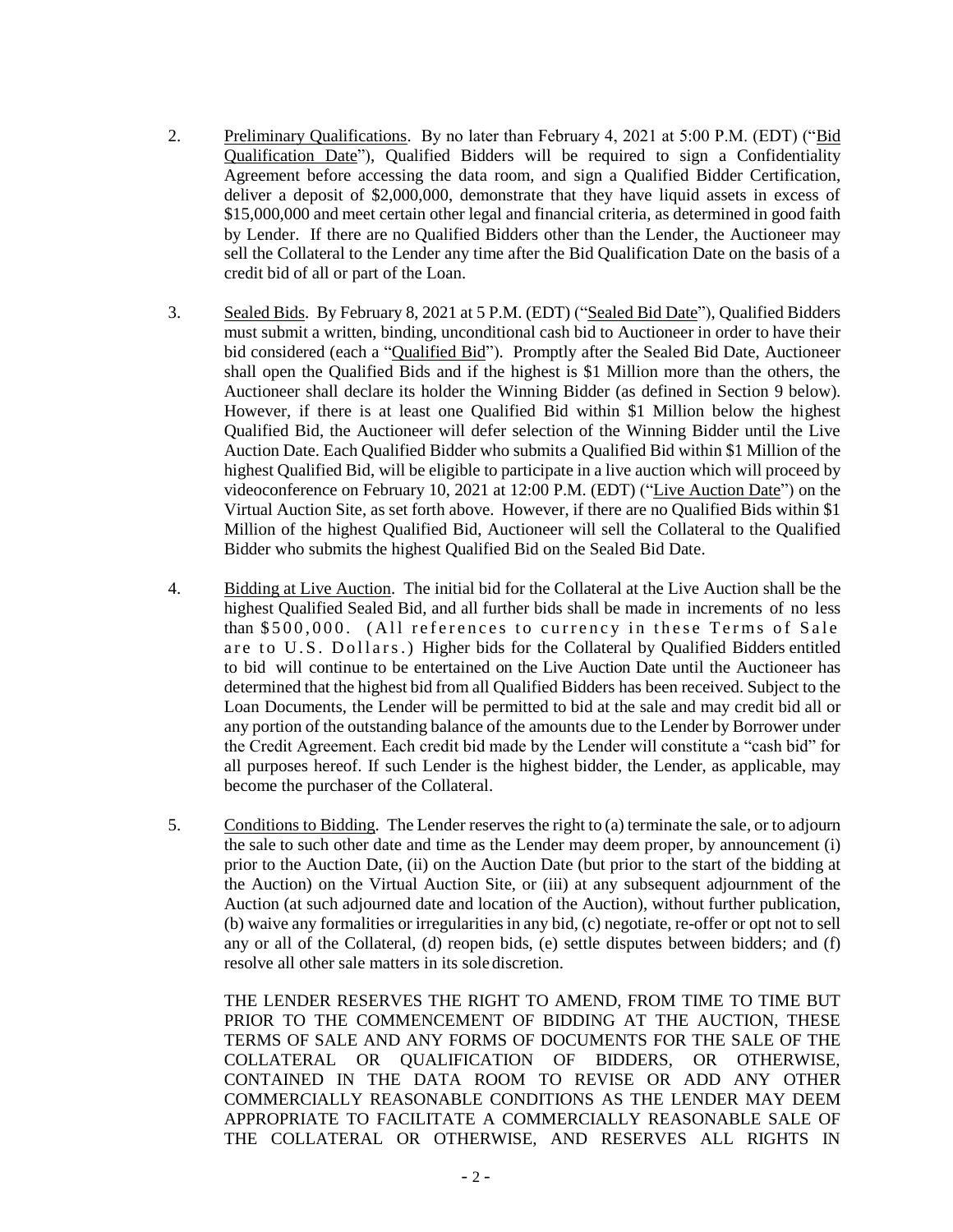- 2. Preliminary Qualifications. By no later than February 4, 2021 at 5:00 P.M. (EDT) ("Bid Qualification Date"), Qualified Bidders will be required to sign a Confidentiality Agreement before accessing the data room, and sign a Qualified Bidder Certification, deliver a deposit of \$2,000,000, demonstrate that they have liquid assets in excess of \$15,000,000 and meet certain other legal and financial criteria, as determined in good faith by Lender. If there are no Qualified Bidders other than the Lender, the Auctioneer may sell the Collateral to the Lender any time after the Bid Qualification Date on the basis of a credit bid of all or part of the Loan.
- 3. Sealed Bids. By February 8, 2021 at 5 P.M. (EDT) ("Sealed Bid Date"), Qualified Bidders must submit a written, binding, unconditional cash bid to Auctioneer in order to have their bid considered (each a "Qualified Bid"). Promptly after the Sealed Bid Date, Auctioneer shall open the Qualified Bids and if the highest is \$1 Million more than the others, the Auctioneer shall declare its holder the Winning Bidder (as defined in Section 9 below). However, if there is at least one Qualified Bid within \$1 Million below the highest Qualified Bid, the Auctioneer will defer selection of the Winning Bidder until the Live Auction Date. Each Qualified Bidder who submits a Qualified Bid within \$1 Million of the highest Qualified Bid, will be eligible to participate in a live auction which will proceed by videoconference on February 10, 2021 at 12:00 P.M. (EDT) ("Live Auction Date") on the Virtual Auction Site, as set forth above. However, if there are no Qualified Bids within \$1 Million of the highest Qualified Bid, Auctioneer will sell the Collateral to the Qualified Bidder who submits the highest Qualified Bid on the Sealed Bid Date.
- 4. Bidding at Live Auction. The initial bid for the Collateral at the Live Auction shall be the highest Qualified Sealed Bid, and all further bids shall be made in increments of no less than \$500,000. (All references to currency in these Terms of Sale are to U.S. Dollars.) Higher bids for the Collateral by Qualified Bidders entitled to bid will continue to be entertained on the Live Auction Date until the Auctioneer has determined that the highest bid from all Qualified Bidders has been received. Subject to the Loan Documents, the Lender will be permitted to bid at the sale and may credit bid all or any portion of the outstanding balance of the amounts due to the Lender by Borrower under the Credit Agreement. Each credit bid made by the Lender will constitute a "cash bid" for all purposes hereof. If such Lender is the highest bidder, the Lender, as applicable, may become the purchaser of the Collateral.
- 5. Conditions to Bidding. The Lender reserves the right to (a) terminate the sale, or to adjourn the sale to such other date and time as the Lender may deem proper, by announcement (i) prior to the Auction Date, (ii) on the Auction Date (but prior to the start of the bidding at the Auction) on the Virtual Auction Site, or (iii) at any subsequent adjournment of the Auction (at such adjourned date and location of the Auction), without further publication, (b) waive any formalities or irregularities in any bid, (c) negotiate, re-offer or opt not to sell any or all of the Collateral, (d) reopen bids, (e) settle disputes between bidders; and (f) resolve all other sale matters in its sole discretion.

THE LENDER RESERVES THE RIGHT TO AMEND, FROM TIME TO TIME BUT PRIOR TO THE COMMENCEMENT OF BIDDING AT THE AUCTION, THESE TERMS OF SALE AND ANY FORMS OF DOCUMENTS FOR THE SALE OF THE COLLATERAL OR QUALIFICATION OF BIDDERS, OR OTHERWISE, CONTAINED IN THE DATA ROOM TO REVISE OR ADD ANY OTHER COMMERCIALLY REASONABLE CONDITIONS AS THE LENDER MAY DEEM APPROPRIATE TO FACILITATE A COMMERCIALLY REASONABLE SALE OF THE COLLATERAL OR OTHERWISE, AND RESERVES ALL RIGHTS IN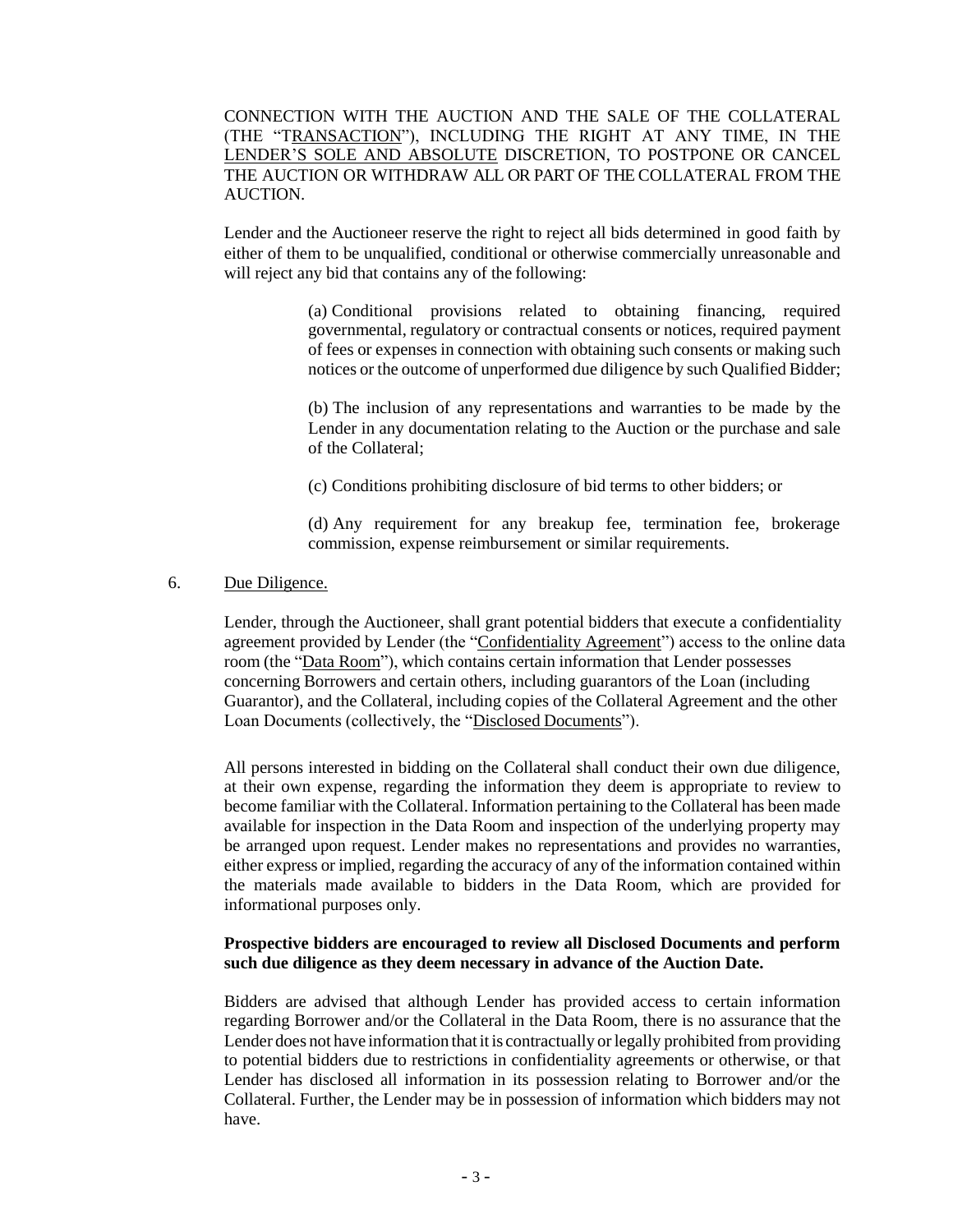CONNECTION WITH THE AUCTION AND THE SALE OF THE COLLATERAL (THE "TRANSACTION"), INCLUDING THE RIGHT AT ANY TIME, IN THE LENDER'S SOLE AND ABSOLUTE DISCRETION, TO POSTPONE OR CANCEL THE AUCTION OR WITHDRAW ALL OR PART OF THE COLLATERAL FROM THE AUCTION.

Lender and the Auctioneer reserve the right to reject all bids determined in good faith by either of them to be unqualified, conditional or otherwise commercially unreasonable and will reject any bid that contains any of the following:

> (a) Conditional provisions related to obtaining financing, required governmental, regulatory or contractual consents or notices, required payment of fees or expenses in connection with obtaining such consents or making such notices or the outcome of unperformed due diligence by such Qualified Bidder;

> (b) The inclusion of any representations and warranties to be made by the Lender in any documentation relating to the Auction or the purchase and sale of the Collateral;

(c) Conditions prohibiting disclosure of bid terms to other bidders; or

(d) Any requirement for any breakup fee, termination fee, brokerage commission, expense reimbursement or similar requirements.

## 6. Due Diligence.

Lender, through the Auctioneer, shall grant potential bidders that execute a confidentiality agreement provided by Lender (the "Confidentiality Agreement") access to the online data room (the "Data Room"), which contains certain information that Lender possesses concerning Borrowers and certain others, including guarantors of the Loan (including Guarantor), and the Collateral, including copies of the Collateral Agreement and the other Loan Documents (collectively, the "Disclosed Documents").

All persons interested in bidding on the Collateral shall conduct their own due diligence, at their own expense, regarding the information they deem is appropriate to review to become familiar with the Collateral. Information pertaining to the Collateral has been made available for inspection in the Data Room and inspection of the underlying property may be arranged upon request. Lender makes no representations and provides no warranties, either express or implied, regarding the accuracy of any of the information contained within the materials made available to bidders in the Data Room, which are provided for informational purposes only.

## **Prospective bidders are encouraged to review all Disclosed Documents and perform such due diligence as they deem necessary in advance of the Auction Date.**

Bidders are advised that although Lender has provided access to certain information regarding Borrower and/or the Collateral in the Data Room, there is no assurance that the Lender does not have information that it is contractually or legally prohibited from providing to potential bidders due to restrictions in confidentiality agreements or otherwise, or that Lender has disclosed all information in its possession relating to Borrower and/or the Collateral. Further, the Lender may be in possession of information which bidders may not have.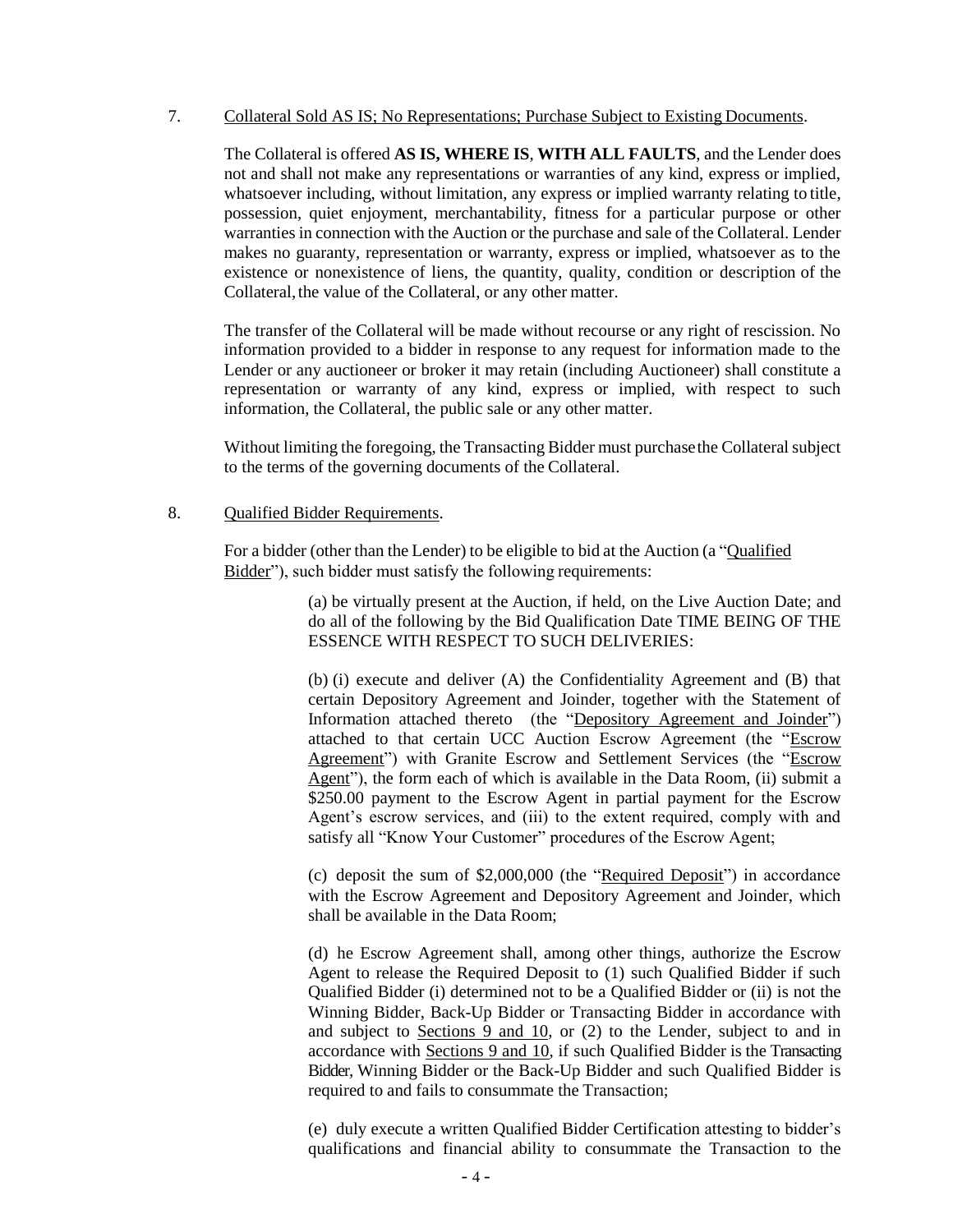## 7. Collateral Sold AS IS; No Representations; Purchase Subject to Existing Documents.

The Collateral is offered **AS IS, WHERE IS**, **WITH ALL FAULTS**, and the Lender does not and shall not make any representations or warranties of any kind, express or implied, whatsoever including, without limitation, any express or implied warranty relating to title, possession, quiet enjoyment, merchantability, fitness for a particular purpose or other warranties in connection with the Auction or the purchase and sale of the Collateral. Lender makes no guaranty, representation or warranty, express or implied, whatsoever as to the existence or nonexistence of liens, the quantity, quality, condition or description of the Collateral, the value of the Collateral, or any other matter.

The transfer of the Collateral will be made without recourse or any right of rescission. No information provided to a bidder in response to any request for information made to the Lender or any auctioneer or broker it may retain (including Auctioneer) shall constitute a representation or warranty of any kind, express or implied, with respect to such information, the Collateral, the public sale or any other matter.

Without limiting the foregoing, the Transacting Bidder must purchasethe Collateral subject to the terms of the governing documents of the Collateral.

### 8. Qualified Bidder Requirements.

For a bidder (other than the Lender) to be eligible to bid at the Auction (a "Qualified Bidder"), such bidder must satisfy the following requirements:

> (a) be virtually present at the Auction, if held, on the Live Auction Date; and do all of the following by the Bid Qualification Date TIME BEING OF THE ESSENCE WITH RESPECT TO SUCH DELIVERIES:

> (b) (i) execute and deliver (A) the Confidentiality Agreement and (B) that certain Depository Agreement and Joinder, together with the Statement of Information attached thereto (the "Depository Agreement and Joinder") attached to that certain UCC Auction Escrow Agreement (the "Escrow Agreement") with Granite Escrow and Settlement Services (the "Escrow Agent"), the form each of which is available in the Data Room, (ii) submit a \$250.00 payment to the Escrow Agent in partial payment for the Escrow Agent's escrow services, and (iii) to the extent required, comply with and satisfy all "Know Your Customer" procedures of the Escrow Agent;

> (c) deposit the sum of \$2,000,000 (the "Required Deposit") in accordance with the Escrow Agreement and Depository Agreement and Joinder, which shall be available in the Data Room;

> (d) he Escrow Agreement shall, among other things, authorize the Escrow Agent to release the Required Deposit to (1) such Qualified Bidder if such Qualified Bidder (i) determined not to be a Qualified Bidder or (ii) is not the Winning Bidder, Back-Up Bidder or Transacting Bidder in accordance with and subject to Sections 9 and 10, or (2) to the Lender, subject to and in accordance with Sections 9 and 10, if such Qualified Bidder is the Transacting Bidder, Winning Bidder or the Back-Up Bidder and such Qualified Bidder is required to and fails to consummate the Transaction;

> (e) duly execute a written Qualified Bidder Certification attesting to bidder's qualifications and financial ability to consummate the Transaction to the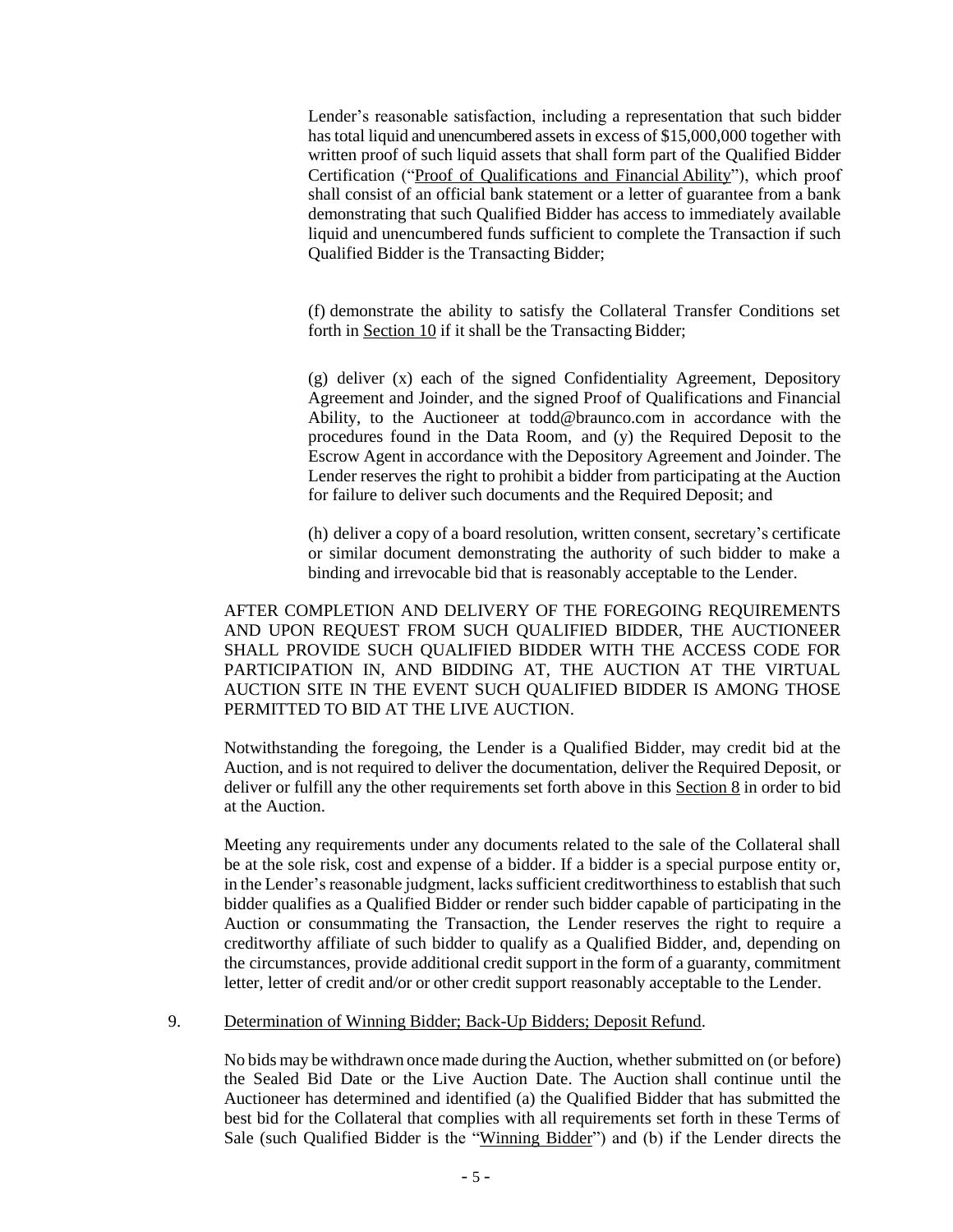Lender's reasonable satisfaction, including a representation that such bidder has total liquid and unencumbered assets in excess of \$15,000,000 together with written proof of such liquid assets that shall form part of the Qualified Bidder Certification ("Proof of Qualifications and Financial Ability"), which proof shall consist of an official bank statement or a letter of guarantee from a bank demonstrating that such Qualified Bidder has access to immediately available liquid and unencumbered funds sufficient to complete the Transaction if such Qualified Bidder is the Transacting Bidder;

(f) demonstrate the ability to satisfy the Collateral Transfer Conditions set forth in Section 10 if it shall be the Transacting Bidder;

(g) deliver (x) each of the signed Confidentiality Agreement, Depository Agreement and Joinder, and the signed Proof of Qualifications and Financial Ability, to the Auctioneer at todd@braunco.com in accordance with the procedures found in the Data Room, and (y) the Required Deposit to the Escrow Agent in accordance with the Depository Agreement and Joinder. The Lender reserves the right to prohibit a bidder from participating at the Auction for failure to deliver such documents and the Required Deposit; and

(h) deliver a copy of a board resolution, written consent, secretary's certificate or similar document demonstrating the authority of such bidder to make a binding and irrevocable bid that is reasonably acceptable to the Lender.

AFTER COMPLETION AND DELIVERY OF THE FOREGOING REQUIREMENTS AND UPON REQUEST FROM SUCH QUALIFIED BIDDER, THE AUCTIONEER SHALL PROVIDE SUCH QUALIFIED BIDDER WITH THE ACCESS CODE FOR PARTICIPATION IN, AND BIDDING AT, THE AUCTION AT THE VIRTUAL AUCTION SITE IN THE EVENT SUCH QUALIFIED BIDDER IS AMONG THOSE PERMITTED TO BID AT THE LIVE AUCTION.

Notwithstanding the foregoing, the Lender is a Qualified Bidder, may credit bid at the Auction, and is not required to deliver the documentation, deliver the Required Deposit, or deliver or fulfill any the other requirements set forth above in this Section 8 in order to bid at the Auction.

Meeting any requirements under any documents related to the sale of the Collateral shall be at the sole risk, cost and expense of a bidder. If a bidder is a special purpose entity or, in the Lender's reasonable judgment, lacks sufficient creditworthiness to establish that such bidder qualifies as a Qualified Bidder or render such bidder capable of participating in the Auction or consummating the Transaction, the Lender reserves the right to require a creditworthy affiliate of such bidder to qualify as a Qualified Bidder, and, depending on the circumstances, provide additional credit support in the form of a guaranty, commitment letter, letter of credit and/or or other credit support reasonably acceptable to the Lender.

9. Determination of Winning Bidder; Back-Up Bidders; Deposit Refund.

No bids may be withdrawn once made during the Auction, whether submitted on (or before) the Sealed Bid Date or the Live Auction Date. The Auction shall continue until the Auctioneer has determined and identified (a) the Qualified Bidder that has submitted the best bid for the Collateral that complies with all requirements set forth in these Terms of Sale (such Qualified Bidder is the "Winning Bidder") and (b) if the Lender directs the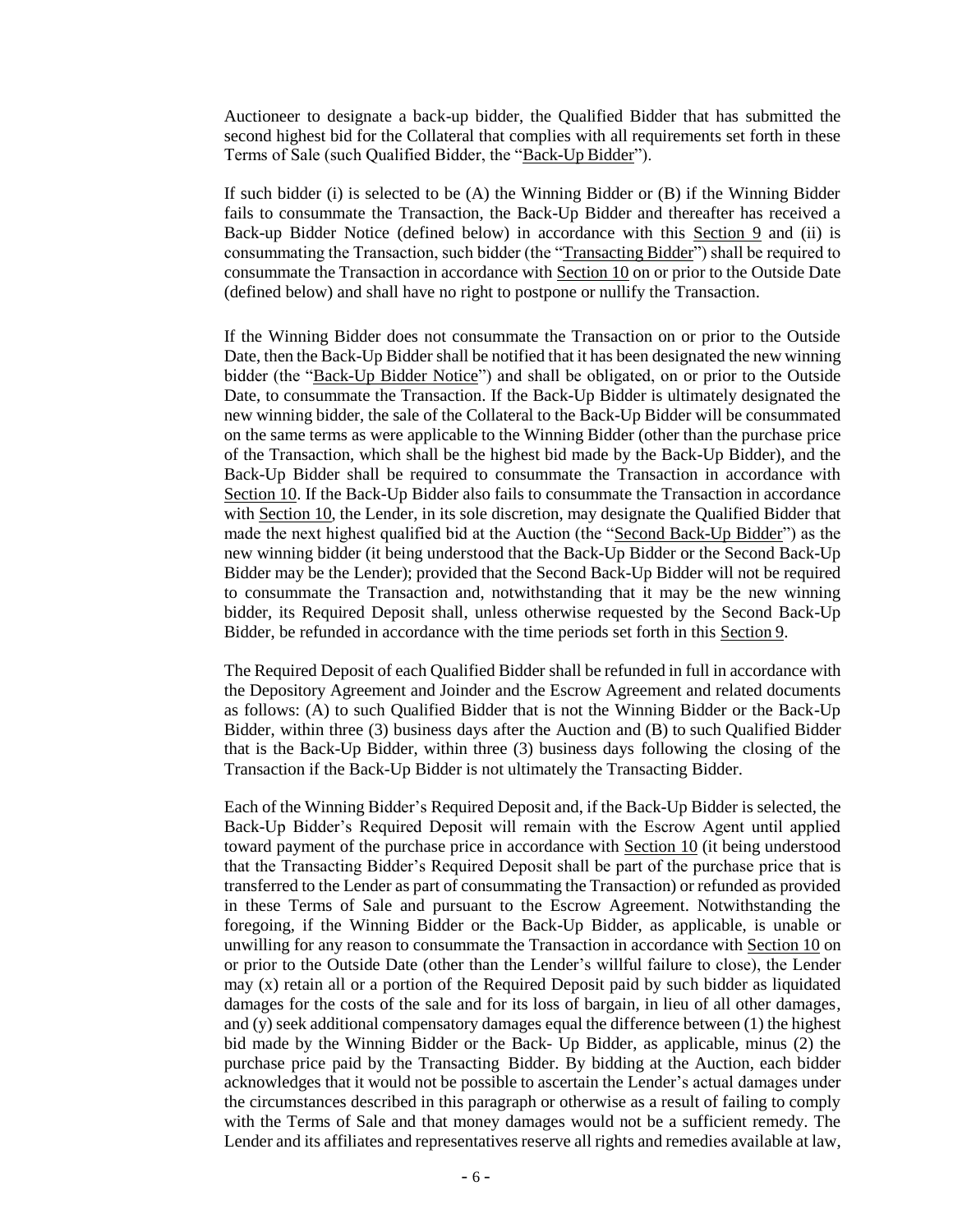Auctioneer to designate a back-up bidder, the Qualified Bidder that has submitted the second highest bid for the Collateral that complies with all requirements set forth in these Terms of Sale (such Qualified Bidder, the "Back-Up Bidder").

If such bidder (i) is selected to be  $(A)$  the Winning Bidder or  $(B)$  if the Winning Bidder fails to consummate the Transaction, the Back-Up Bidder and thereafter has received a Back-up Bidder Notice (defined below) in accordance with this Section 9 and (ii) is consummating the Transaction, such bidder (the "Transacting Bidder") shall be required to consummate the Transaction in accordance with Section 10 on or prior to the Outside Date (defined below) and shall have no right to postpone or nullify the Transaction.

If the Winning Bidder does not consummate the Transaction on or prior to the Outside Date, then the Back-Up Bidder shall be notified that it has been designated the new winning bidder (the "Back-Up Bidder Notice") and shall be obligated, on or prior to the Outside Date, to consummate the Transaction. If the Back-Up Bidder is ultimately designated the new winning bidder, the sale of the Collateral to the Back-Up Bidder will be consummated on the same terms as were applicable to the Winning Bidder (other than the purchase price of the Transaction, which shall be the highest bid made by the Back-Up Bidder), and the Back-Up Bidder shall be required to consummate the Transaction in accordance with Section 10. If the Back-Up Bidder also fails to consummate the Transaction in accordance with Section 10, the Lender, in its sole discretion, may designate the Qualified Bidder that made the next highest qualified bid at the Auction (the "Second Back-Up Bidder") as the new winning bidder (it being understood that the Back-Up Bidder or the Second Back-Up Bidder may be the Lender); provided that the Second Back-Up Bidder will not be required to consummate the Transaction and, notwithstanding that it may be the new winning bidder, its Required Deposit shall, unless otherwise requested by the Second Back-Up Bidder, be refunded in accordance with the time periods set forth in this Section 9.

The Required Deposit of each Qualified Bidder shall be refunded in full in accordance with the Depository Agreement and Joinder and the Escrow Agreement and related documents as follows: (A) to such Qualified Bidder that is not the Winning Bidder or the Back-Up Bidder, within three (3) business days after the Auction and (B) to such Qualified Bidder that is the Back-Up Bidder, within three (3) business days following the closing of the Transaction if the Back-Up Bidder is not ultimately the Transacting Bidder.

Each of the Winning Bidder's Required Deposit and, if the Back-Up Bidder is selected, the Back-Up Bidder's Required Deposit will remain with the Escrow Agent until applied toward payment of the purchase price in accordance with Section 10 (it being understood that the Transacting Bidder's Required Deposit shall be part of the purchase price that is transferred to the Lender as part of consummating the Transaction) or refunded as provided in these Terms of Sale and pursuant to the Escrow Agreement. Notwithstanding the foregoing, if the Winning Bidder or the Back-Up Bidder, as applicable, is unable or unwilling for any reason to consummate the Transaction in accordance with Section 10 on or prior to the Outside Date (other than the Lender's willful failure to close), the Lender may (x) retain all or a portion of the Required Deposit paid by such bidder as liquidated damages for the costs of the sale and for its loss of bargain, in lieu of all other damages, and (y) seek additional compensatory damages equal the difference between (1) the highest bid made by the Winning Bidder or the Back- Up Bidder, as applicable, minus (2) the purchase price paid by the Transacting Bidder. By bidding at the Auction, each bidder acknowledges that it would not be possible to ascertain the Lender's actual damages under the circumstances described in this paragraph or otherwise as a result of failing to comply with the Terms of Sale and that money damages would not be a sufficient remedy. The Lender and its affiliates and representatives reserve all rights and remedies available at law,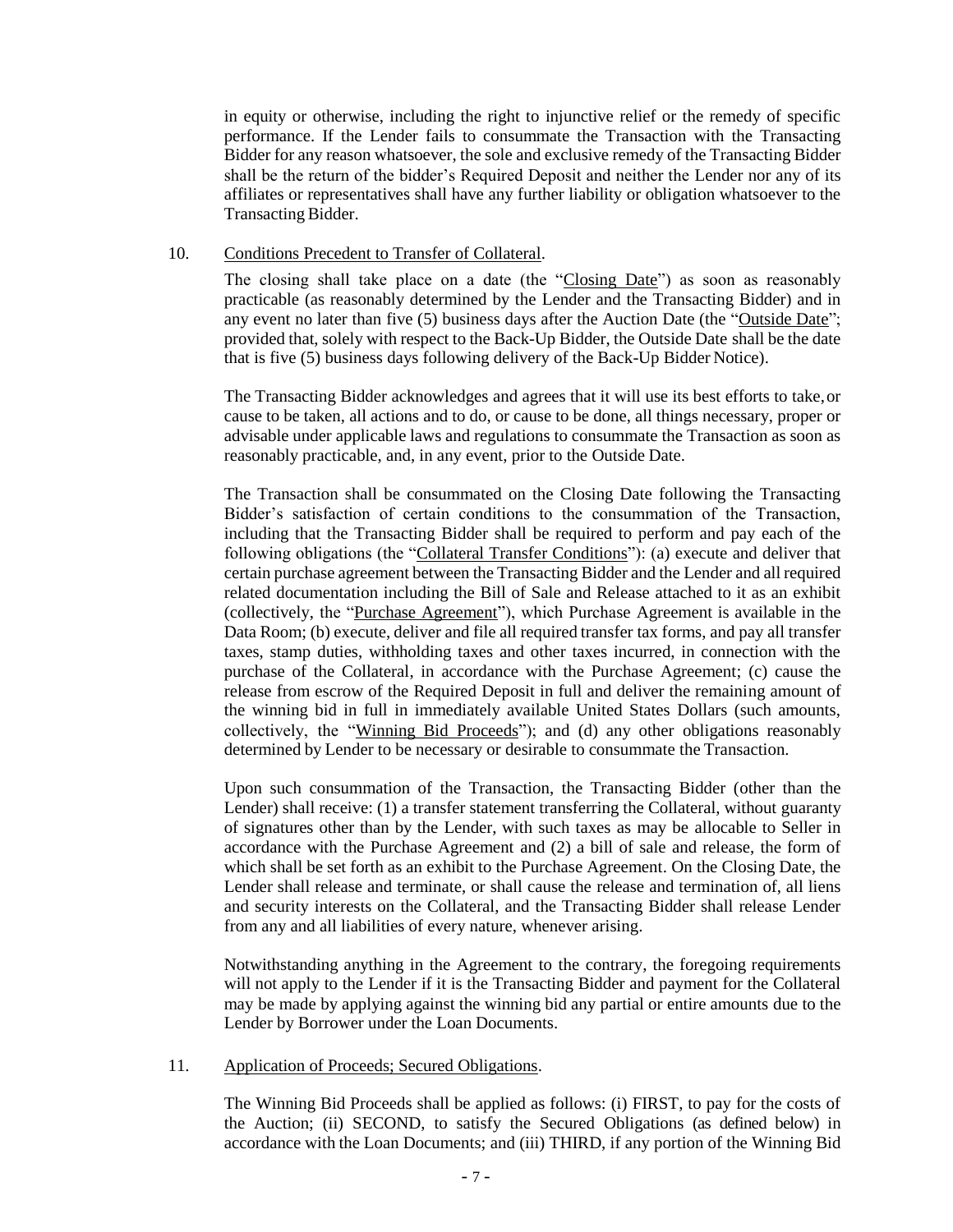in equity or otherwise, including the right to injunctive relief or the remedy of specific performance. If the Lender fails to consummate the Transaction with the Transacting Bidder for any reason whatsoever, the sole and exclusive remedy of the Transacting Bidder shall be the return of the bidder's Required Deposit and neither the Lender nor any of its affiliates or representatives shall have any further liability or obligation whatsoever to the Transacting Bidder.

### 10. Conditions Precedent to Transfer of Collateral.

The closing shall take place on a date (the "Closing Date") as soon as reasonably practicable (as reasonably determined by the Lender and the Transacting Bidder) and in any event no later than five (5) business days after the Auction Date (the "Outside Date"; provided that, solely with respect to the Back-Up Bidder, the Outside Date shall be the date that is five (5) business days following delivery of the Back-Up Bidder Notice).

The Transacting Bidder acknowledges and agrees that it will use its best efforts to take,or cause to be taken, all actions and to do, or cause to be done, all things necessary, proper or advisable under applicable laws and regulations to consummate the Transaction as soon as reasonably practicable, and, in any event, prior to the Outside Date.

The Transaction shall be consummated on the Closing Date following the Transacting Bidder's satisfaction of certain conditions to the consummation of the Transaction, including that the Transacting Bidder shall be required to perform and pay each of the following obligations (the "Collateral Transfer Conditions"): (a) execute and deliver that certain purchase agreement between the Transacting Bidder and the Lender and all required related documentation including the Bill of Sale and Release attached to it as an exhibit (collectively, the "Purchase Agreement"), which Purchase Agreement is available in the Data Room; (b) execute, deliver and file all required transfer tax forms, and pay all transfer taxes, stamp duties, withholding taxes and other taxes incurred, in connection with the purchase of the Collateral, in accordance with the Purchase Agreement; (c) cause the release from escrow of the Required Deposit in full and deliver the remaining amount of the winning bid in full in immediately available United States Dollars (such amounts, collectively, the "Winning Bid Proceeds"); and (d) any other obligations reasonably determined by Lender to be necessary or desirable to consummate the Transaction.

Upon such consummation of the Transaction, the Transacting Bidder (other than the Lender) shall receive: (1) a transfer statement transferring the Collateral, without guaranty of signatures other than by the Lender, with such taxes as may be allocable to Seller in accordance with the Purchase Agreement and (2) a bill of sale and release, the form of which shall be set forth as an exhibit to the Purchase Agreement. On the Closing Date, the Lender shall release and terminate, or shall cause the release and termination of, all liens and security interests on the Collateral, and the Transacting Bidder shall release Lender from any and all liabilities of every nature, whenever arising.

Notwithstanding anything in the Agreement to the contrary, the foregoing requirements will not apply to the Lender if it is the Transacting Bidder and payment for the Collateral may be made by applying against the winning bid any partial or entire amounts due to the Lender by Borrower under the Loan Documents.

#### 11. Application of Proceeds; Secured Obligations.

The Winning Bid Proceeds shall be applied as follows: (i) FIRST, to pay for the costs of the Auction; (ii) SECOND, to satisfy the Secured Obligations (as defined below) in accordance with the Loan Documents; and (iii) THIRD, if any portion of the Winning Bid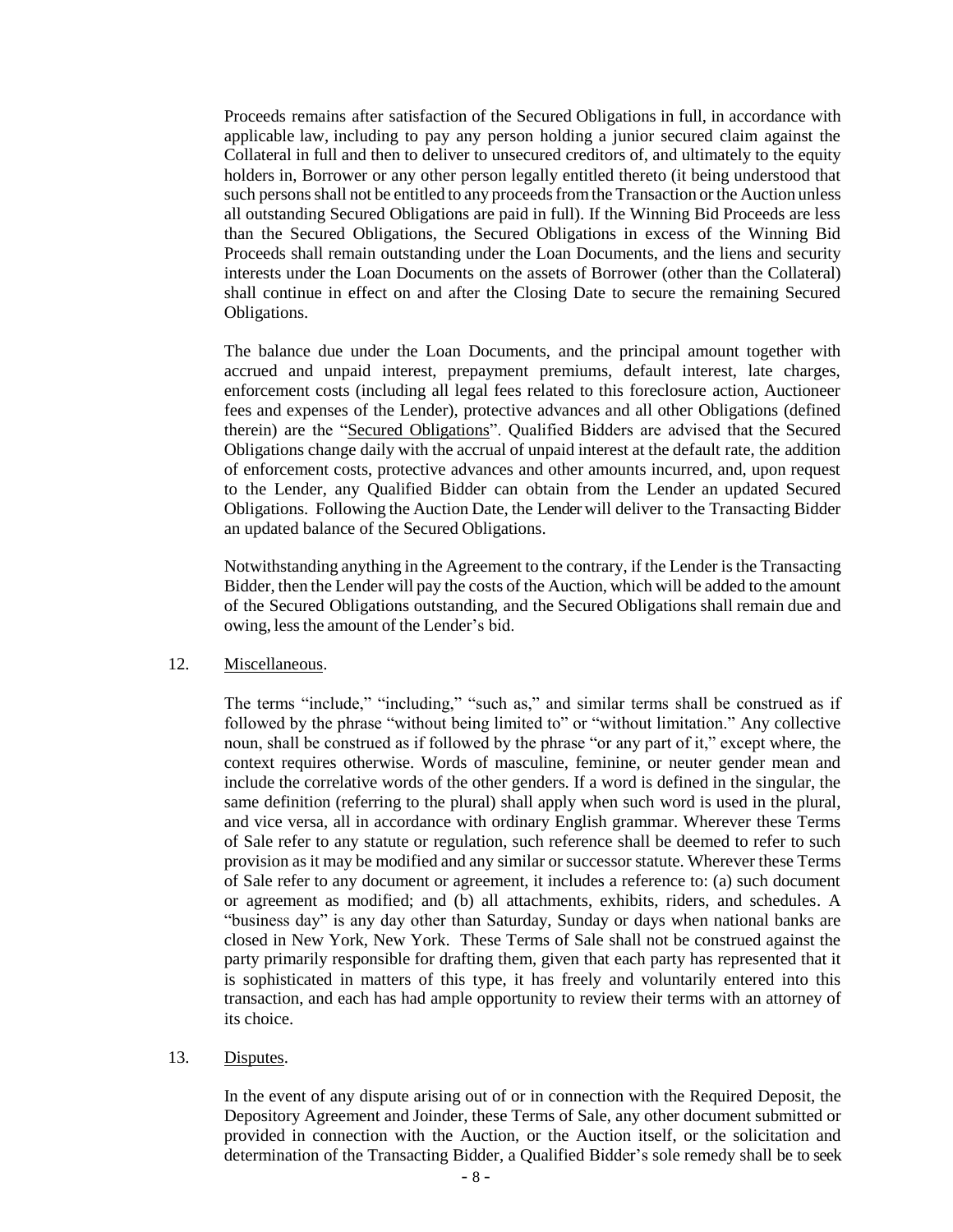Proceeds remains after satisfaction of the Secured Obligations in full, in accordance with applicable law, including to pay any person holding a junior secured claim against the Collateral in full and then to deliver to unsecured creditors of, and ultimately to the equity holders in, Borrower or any other person legally entitled thereto (it being understood that such persons shall not be entitled to any proceeds from the Transaction or the Auction unless all outstanding Secured Obligations are paid in full). If the Winning Bid Proceeds are less than the Secured Obligations, the Secured Obligations in excess of the Winning Bid Proceeds shall remain outstanding under the Loan Documents, and the liens and security interests under the Loan Documents on the assets of Borrower (other than the Collateral) shall continue in effect on and after the Closing Date to secure the remaining Secured Obligations.

The balance due under the Loan Documents, and the principal amount together with accrued and unpaid interest, prepayment premiums, default interest, late charges, enforcement costs (including all legal fees related to this foreclosure action, Auctioneer fees and expenses of the Lender), protective advances and all other Obligations (defined therein) are the "Secured Obligations". Qualified Bidders are advised that the Secured Obligations change daily with the accrual of unpaid interest at the default rate, the addition of enforcement costs, protective advances and other amounts incurred, and, upon request to the Lender, any Qualified Bidder can obtain from the Lender an updated Secured Obligations. Following the Auction Date, the Lender will deliver to the Transacting Bidder an updated balance of the Secured Obligations.

Notwithstanding anything in the Agreement to the contrary, if the Lender is the Transacting Bidder, then the Lender will pay the costs of the Auction, which will be added to the amount of the Secured Obligations outstanding, and the Secured Obligations shall remain due and owing, less the amount of the Lender's bid.

#### 12. Miscellaneous.

The terms "include," "including," "such as," and similar terms shall be construed as if followed by the phrase "without being limited to" or "without limitation." Any collective noun, shall be construed as if followed by the phrase "or any part of it," except where, the context requires otherwise. Words of masculine, feminine, or neuter gender mean and include the correlative words of the other genders. If a word is defined in the singular, the same definition (referring to the plural) shall apply when such word is used in the plural, and vice versa, all in accordance with ordinary English grammar. Wherever these Terms of Sale refer to any statute or regulation, such reference shall be deemed to refer to such provision as it may be modified and any similar or successor statute. Wherever these Terms of Sale refer to any document or agreement, it includes a reference to: (a) such document or agreement as modified; and (b) all attachments, exhibits, riders, and schedules. A "business day" is any day other than Saturday, Sunday or days when national banks are closed in New York, New York. These Terms of Sale shall not be construed against the party primarily responsible for drafting them, given that each party has represented that it is sophisticated in matters of this type, it has freely and voluntarily entered into this transaction, and each has had ample opportunity to review their terms with an attorney of its choice.

13. Disputes.

In the event of any dispute arising out of or in connection with the Required Deposit, the Depository Agreement and Joinder, these Terms of Sale, any other document submitted or provided in connection with the Auction, or the Auction itself, or the solicitation and determination of the Transacting Bidder, a Qualified Bidder's sole remedy shall be to seek